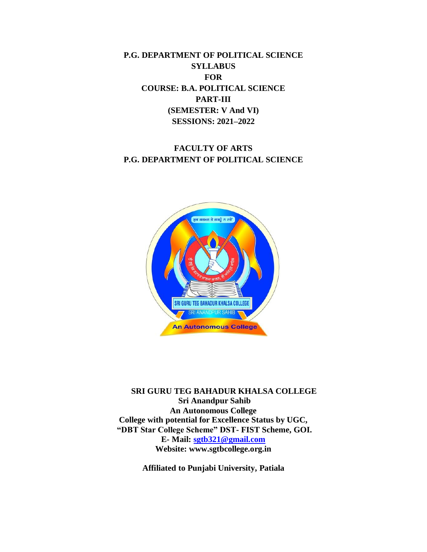**P.G. DEPARTMENT OF POLITICAL SCIENCE SYLLABUS FOR COURSE: B.A. POLITICAL SCIENCE PART-III (SEMESTER: V And VI) SESSIONS: 2021–2022**

# **FACULTY OF ARTS P.G. DEPARTMENT OF POLITICAL SCIENCE**



**SRI GURU TEG BAHADUR KHALSA COLLEGE Sri Anandpur Sahib An Autonomous College College with potential for Excellence Status by UGC, "DBT Star College Scheme" DST- FIST Scheme, GOI. E- Mail: [sgtb321@gmail.com](mailto:sgtb321@gmail.com) Website: www.sgtbcollege.org.in**

**Affiliated to Punjabi University, Patiala**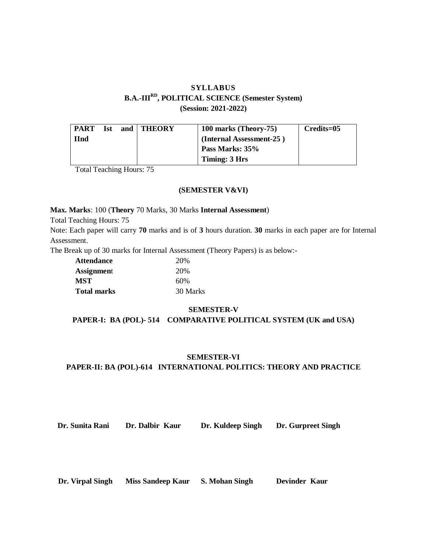# **SYLLABUS B.A.-IIIRD, POLITICAL SCIENCE (Semester System) (Session: 2021-2022)**

| <b>PART</b> | Ist | and   THEORY | 100 marks (Theory-75)    | Credits=05 |
|-------------|-----|--------------|--------------------------|------------|
| <b>H</b> nd |     |              | (Internal Assessment-25) |            |
|             |     |              | Pass Marks: 35%          |            |
|             |     |              | Timing: 3 Hrs            |            |

Total Teaching Hours: 75

### **(SEMESTER V&VI)**

**Max. Marks**: 100 (**Theory** 70 Marks, 30 Marks **Internal Assessment**)

Total Teaching Hours: 75

Note: Each paper will carry **70** marks and is of **3** hours duration. **30** marks in each paper are for Internal Assessment.

The Break up of 30 marks for Internal Assessment (Theory Papers) is as below:-

| <b>Attendance</b> | 20%      |
|-------------------|----------|
| <b>Assignment</b> | 20%      |
| <b>MST</b>        | 60%      |
| Total marks       | 30 Marks |

### **SEMESTER-V**

**PAPER-I: BA (POL)- 514 COMPARATIVE POLITICAL SYSTEM (UK and USA)**

#### **SEMESTER-VI**

### **PAPER-II: BA (POL)-614 INTERNATIONAL POLITICS: THEORY AND PRACTICE**

**Dr. Sunita Rani Dr. Dalbir Kaur Dr. Kuldeep Singh Dr. Gurpreet Singh**

 **Dr. Virpal Singh Miss Sandeep Kaur S. Mohan Singh Devinder Kaur**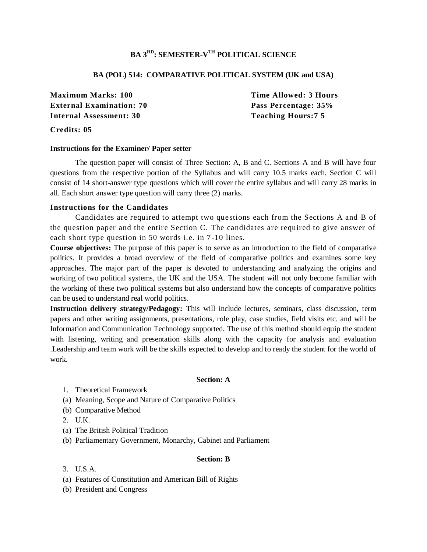## **BA 3RD: SEMESTER-V TH POLITICAL SCIENCE**

### **BA (POL) 514: COMPARATIVE POLITICAL SYSTEM (UK and USA)**

**Maximum Marks: 100 Time Allowed: 3 Hours External Examination: 70 Pass Percentage: 35% Internal Assessment: 30 Teaching Hours:7 5**

### **Credits: 05**

#### **Instructions for the Examiner/ Paper setter**

The question paper will consist of Three Section: A, B and C. Sections A and B will have four questions from the respective portion of the Syllabus and will carry 10.5 marks each. Section C will consist of 14 short-answer type questions which will cover the entire syllabus and will carry 28 marks in all. Each short answer type question will carry three (2) marks.

### **Instructions for the Candidates**

Candidates are required to attempt two questions each from the Sections A and B of the question paper and the entire Section C. The candidates are required to give answer of each short type question in 50 words i.e. in 7-10 lines.

**Course objectives:** The purpose of this paper is to serve as an introduction to the field of comparative politics. It provides a broad overview of the field of comparative politics and examines some key approaches. The major part of the paper is devoted to understanding and analyzing the origins and working of two political systems, the UK and the USA. The student will not only become familiar with the working of these two political systems but also understand how the concepts of comparative politics can be used to understand real world politics.

**Instruction delivery strategy/Pedagogy:** This will include lectures, seminars, class discussion, term papers and other writing assignments, presentations, role play, case studies, field visits etc. and will be Information and Communication Technology supported. The use of this method should equip the student with listening, writing and presentation skills along with the capacity for analysis and evaluation .Leadership and team work will be the skills expected to develop and to ready the student for the world of work.

### **Section: A**

- 1. Theoretical Framework
- (a) Meaning, Scope and Nature of Comparative Politics
- (b) Comparative Method
- 2. U.K.
- (a) The British Political Tradition
- (b) Parliamentary Government, Monarchy, Cabinet and Parliament

### **Section: B**

- 3. U.S.A.
- (a) Features of Constitution and American Bill of Rights
- (b) President and Congress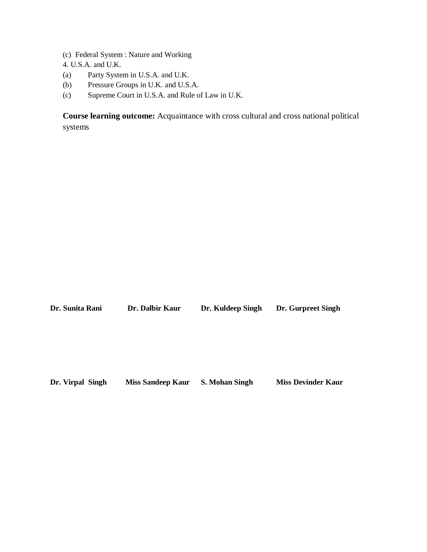- (c) Federal System : Nature and Working
- 4. U.S.A. and U.K.
- (a) Party System in U.S.A. and U.K.
- (b) Pressure Groups in U.K. and U.S.A.
- (c) Supreme Court in U.S.A. and Rule of Law in U.K.

**Course learning outcome:** Acquaintance with cross cultural and cross national political systems

**Dr. Sunita Rani Dr. Dalbir Kaur Dr. Kuldeep Singh Dr. Gurpreet Singh**

**Dr. Virpal Singh Miss Sandeep Kaur S. Mohan Singh Miss Devinder Kaur**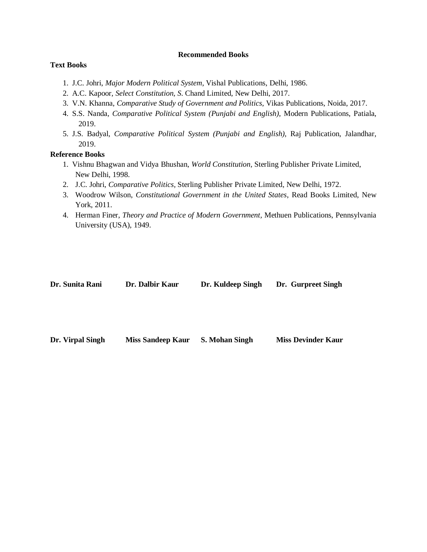### **Recommended Books**

## **Text Books**

- 1. J.C. Johri, *Major Modern Political System*, Vishal Publications, Delhi, 1986.
- 2. A.C. Kapoor, *Select Constitution, S*. Chand Limited*,* New Delhi, 2017.
- 3. V.N. Khanna, *Comparative Study of Government and Politics*, Vikas Publications, Noida, 2017.
- 4. S.S. Nanda, *Comparative Political System (Punjabi and English),* Modern Publications, Patiala, 2019.
- 5. J.S. Badyal, *Comparative Political System (Punjabi and English),* Raj Publication, Jalandhar, 2019.

## **Reference Books**

- 1. Vishnu Bhagwan and Vidya Bhushan, *World Constitution,* [Sterling Publisher Private Limited,](https://www.google.co.in/search?hl=en&q=inpublisher:%22Sterling+Publisher+Private+Limited%22&tbm=bks&sa=X&ved=2ahUKEwiGp8ihtuHwAhVqFLcAHaCFC_wQmxMoADAFegQIEhAC) New Delhi, 1998.
- 2. J.C. Johri, *Comparative Politics,* [Sterling Publisher Private Limited,](https://www.google.co.in/search?hl=en&q=inpublisher:%22Sterling+Publisher+Private+Limited%22&tbm=bks&sa=X&ved=2ahUKEwiGp8ihtuHwAhVqFLcAHaCFC_wQmxMoADAFegQIEhAC) New Delhi, 1972.
- 3. [Woodrow Wilson,](https://www.google.co.in/search?hl=en&q=inauthor:%22Woodrow+Wilson%22&tbm=bks) *Constitutional Government in the United States*, [Read Books Limited,](https://www.google.co.in/search?hl=en&gbpv=1&dq=Government+in+the+United+States&printsec=frontcover&q=inpublisher:%22Read+Books+Limited%22&tbm=bks&sa=X&ved=2ahUKEwijir3IuOHwAhWi7HMBHeUlCTsQmxMoADAIegQIFRAC) New York, 2011.
- 4. Herman Finer, *Theory and Practice of Modern Government,* Methuen Publications, Pennsylvania University (USA), 1949.

| Dr. Sunita Rani  | Dr. Dalbir Kaur          | Dr. Kuldeep Singh     | Dr. Gurpreet Singh        |
|------------------|--------------------------|-----------------------|---------------------------|
|                  |                          |                       |                           |
| Dr. Virpal Singh | <b>Miss Sandeep Kaur</b> | <b>S. Mohan Singh</b> | <b>Miss Devinder Kaur</b> |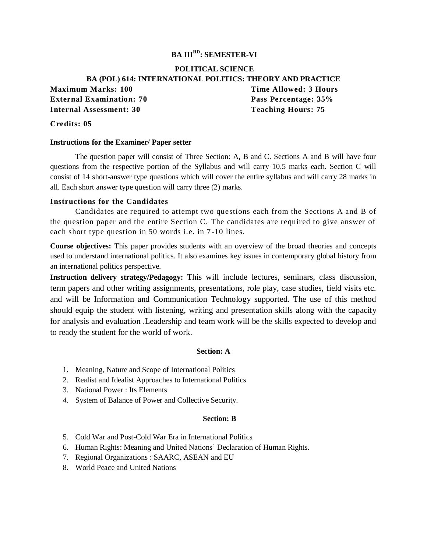# **BA IIIRD: SEMESTER-VI**

# **POLITICAL SCIENCE BA (POL) 614: INTERNATIONAL POLITICS: THEORY AND PRACTICE Maximum Marks: 100 Time Allowed: 3 Hours External Examination: 70 Pass Percentage: 35% Internal Assessment: 30 Teaching Hours: 75**

### **Credits: 05**

#### **Instructions for the Examiner/ Paper setter**

The question paper will consist of Three Section: A, B and C. Sections A and B will have four questions from the respective portion of the Syllabus and will carry 10.5 marks each. Section C will consist of 14 short-answer type questions which will cover the entire syllabus and will carry 28 marks in all. Each short answer type question will carry three (2) marks.

#### **Instructions for the Candidates**

Candidates are required to attempt two questions each from the Sections A and B of the question paper and the entire Section C. The candidates are required to give answer of each short type question in 50 words i.e. in 7-10 lines.

**Course objectives:** This paper provides students with an overview of the broad theories and concepts used to understand international politics. It also examines key issues in contemporary global history from an international politics perspective.

**Instruction delivery strategy/Pedagogy:** This will include lectures, seminars, class discussion, term papers and other writing assignments, presentations, role play, case studies, field visits etc. and will be Information and Communication Technology supported. The use of this method should equip the student with listening, writing and presentation skills along with the capacity for analysis and evaluation .Leadership and team work will be the skills expected to develop and to ready the student for the world of work.

#### **Section: A**

- 1. Meaning, Nature and Scope of International Politics
- 2. Realist and Idealist Approaches to International Politics
- 3. National Power : Its Elements
- *4.* System of Balance of Power and Collective Security.

### **Section: B**

- 5. Cold War and Post-Cold War Era in International Politics
- 6. Human Rights: Meaning and United Nations' Declaration of Human Rights.
- 7. Regional Organizations : SAARC, ASEAN and EU
- 8. World Peace and United Nations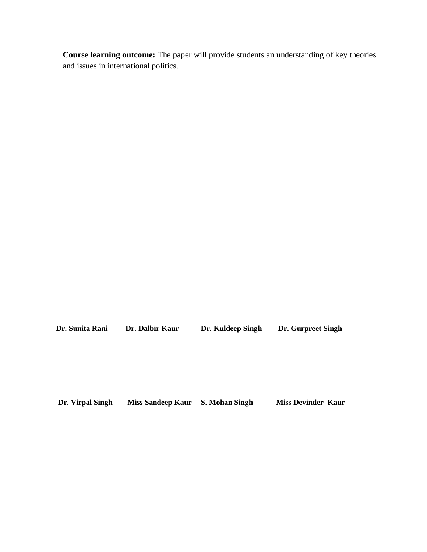**Course learning outcome:** The paper will provide students an understanding of key theories and issues in international politics.

 **Dr. Sunita Rani Dr. Dalbir Kaur Dr. Kuldeep Singh Dr. Gurpreet Singh**

 **Dr. Virpal Singh Miss Sandeep Kaur S. Mohan Singh Miss Devinder Kaur**